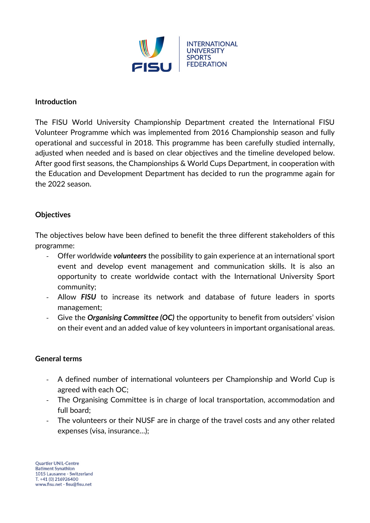

#### **Introduction**

The FISU World University Championship Department created the International FISU Volunteer Programme which was implemented from 2016 Championship season and fully operational and successful in 2018. This programme has been carefully studied internally, adjusted when needed and is based on clear objectives and the timeline developed below. After good first seasons, the Championships & World Cups Department, in cooperation with the Education and Development Department has decided to run the programme again for the 2022 season.

### **Objectives**

The objectives below have been defined to benefit the three different stakeholders of this programme:

- Offer worldwide *volunteers* the possibility to gain experience at an international sport event and develop event management and communication skills. It is also an opportunity to create worldwide contact with the International University Sport community;
- Allow *FISU* to increase its network and database of future leaders in sports management;
- Give the *Organising Committee (OC)* the opportunity to benefit from outsiders' vision on their event and an added value of key volunteers in important organisational areas.

#### **General terms**

- A defined number of international volunteers per Championship and World Cup is agreed with each OC;
- The Organising Committee is in charge of local transportation, accommodation and full board;
- The volunteers or their NUSF are in charge of the travel costs and any other related expenses (visa, insurance…);